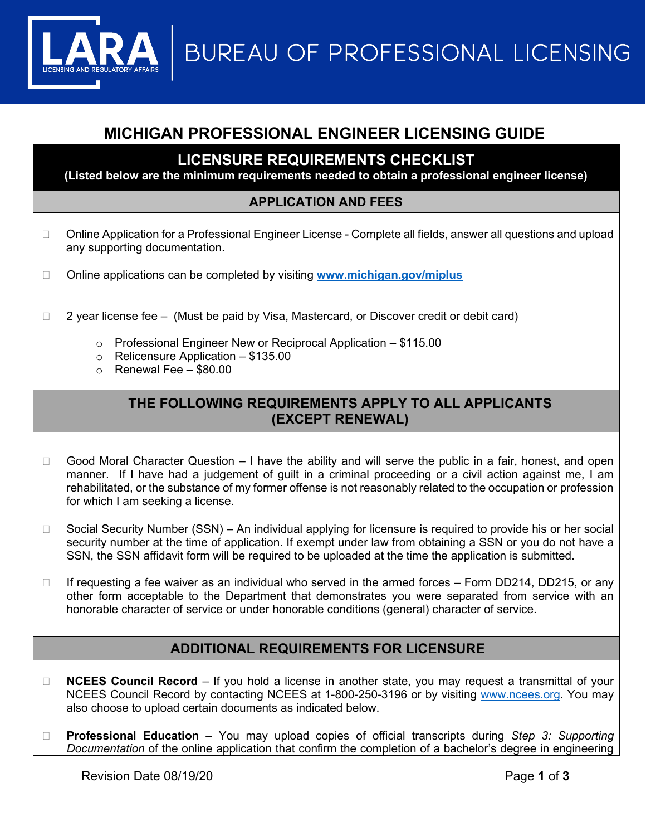**BUREAU OF PROFESSIONAL LICENSING** 

# **MICHIGAN PROFESSIONAL ENGINEER LICENSING GUIDE**

**LICENSURE REQUIREMENTS CHECKLIST**

**(Listed below are the minimum requirements needed to obtain a professional engineer license)**

#### **APPLICATION AND FEES**

- □ Online Application for a Professional Engineer License Complete all fields, answer all questions and upload any supporting documentation.
- Online applications can be completed by visiting **[www.michigan.gov/miplus](http://www.michigan.gov/miplus)**
- $\Box$  2 year license fee (Must be paid by Visa, Mastercard, or Discover credit or debit card)
	- o Professional Engineer New or Reciprocal Application \$115.00
	- o Relicensure Application \$135.00
	- $\circ$  Renewal Fee \$80.00

#### **THE FOLLOWING REQUIREMENTS APPLY TO ALL APPLICANTS (EXCEPT RENEWAL)**

- $\Box$  Good Moral Character Question I have the ability and will serve the public in a fair, honest, and open manner. If I have had a judgement of guilt in a criminal proceeding or a civil action against me, I am rehabilitated, or the substance of my former offense is not reasonably related to the occupation or profession for which I am seeking a license.
- $\Box$  Social Security Number (SSN) An individual applying for licensure is required to provide his or her social security number at the time of application. If exempt under law from obtaining a SSN or you do not have a SSN, the SSN affidavit form will be required to be uploaded at the time the application is submitted.
- $\Box$  If requesting a fee waiver as an individual who served in the armed forces Form DD214, DD215, or any other form acceptable to the Department that demonstrates you were separated from service with an honorable character of service or under honorable conditions (general) character of service.

#### **ADDITIONAL REQUIREMENTS FOR LICENSURE**

- □ **NCEES Council Record** If you hold a license in another state, you may request a transmittal of your NCEES Council Record by contacting NCEES at 1-800-250-3196 or by visiting [www.ncees.org.](http://www.ncees.org/) You may also choose to upload certain documents as indicated below.
- **Professional Education** You may upload copies of official transcripts during *Step 3: Supporting Documentation* of the online application that confirm the completion of a bachelor's degree in engineering

Revision Date 08/19/20 **Page 1** of **3**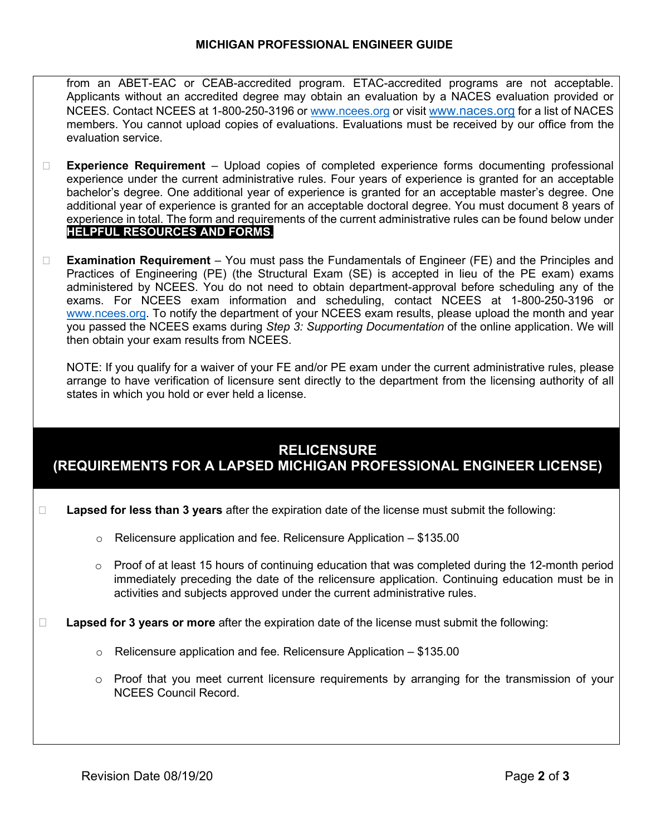from an ABET-EAC or CEAB-accredited program. ETAC-accredited programs are not acceptable. Applicants without an accredited degree may obtain an evaluation by a NACES evaluation provided or NCEES. Contact NCEES at 1-800-250-3196 or [www.ncees.org](http://www.ncees.org/) or visit [www.naces.org](http://www.naces.org/) for a list of NACES members. You cannot upload copies of evaluations. Evaluations must be received by our office from the evaluation service.

- **Experience Requirement** Upload copies of completed experience forms documenting professional experience under the current administrative rules. Four years of experience is granted for an acceptable bachelor's degree. One additional year of experience is granted for an acceptable master's degree. One additional year of experience is granted for an acceptable doctoral degree. You must document 8 years of experience in total. The form and requirements of the current administrative rules can be found below under **HELPFUL RESOURCES AND FORMS**.
- **Examination Requirement** You must pass the Fundamentals of Engineer (FE) and the Principles and Practices of Engineering (PE) (the Structural Exam (SE) is accepted in lieu of the PE exam) exams administered by NCEES. You do not need to obtain department-approval before scheduling any of the exams. For NCEES exam information and scheduling, contact NCEES at 1-800-250-3196 or [www.ncees.org.](http://www.ncees.org/) To notify the department of your NCEES exam results, please upload the month and year you passed the NCEES exams during *Step 3: Supporting Documentation* of the online application. We will then obtain your exam results from NCEES.

NOTE: If you qualify for a waiver of your FE and/or PE exam under the current administrative rules, please arrange to have verification of licensure sent directly to the department from the licensing authority of all states in which you hold or ever held a license.

## **RELICENSURE (REQUIREMENTS FOR A LAPSED MICHIGAN PROFESSIONAL ENGINEER LICENSE)**

- **Lapsed for less than 3 years** after the expiration date of the license must submit the following:
	- $\circ$  Relicensure application and fee. Relicensure Application \$135.00
	- $\circ$  Proof of at least 15 hours of continuing education that was completed during the 12-month period immediately preceding the date of the relicensure application. Continuing education must be in activities and subjects approved under the current administrative rules.
- **Lapsed for 3 years or more** after the expiration date of the license must submit the following:
	- o Relicensure application and fee. Relicensure Application \$135.00
	- $\circ$  Proof that you meet current licensure requirements by arranging for the transmission of your NCEES Council Record.